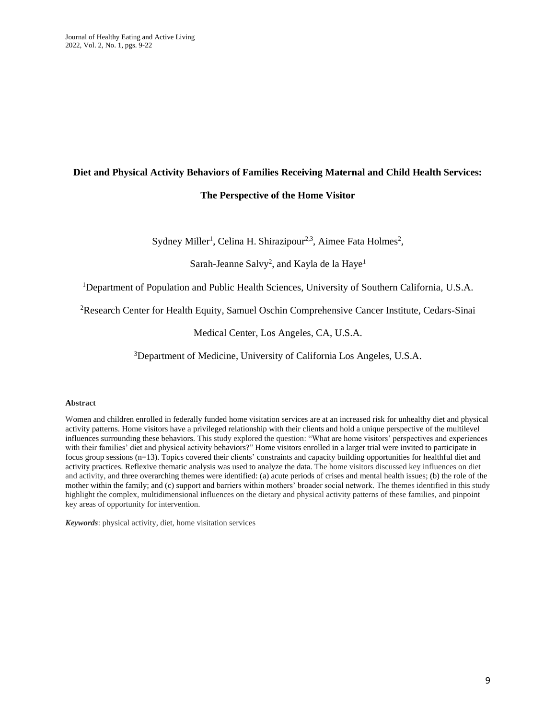# **Diet and Physical Activity Behaviors of Families Receiving Maternal and Child Health Services:**

# **The Perspective of the Home Visitor**

Sydney Miller<sup>1</sup>, Celina H. Shirazipour<sup>2,3</sup>, Aimee Fata Holmes<sup>2</sup>,

Sarah-Jeanne Salvy<sup>2</sup>, and Kayla de la Haye<sup>1</sup>

<sup>1</sup>Department of Population and Public Health Sciences, University of Southern California, U.S.A.

<sup>2</sup>Research Center for Health Equity, Samuel Oschin Comprehensive Cancer Institute, Cedars-Sinai

Medical Center, Los Angeles, CA, U.S.A.

<sup>3</sup>Department of Medicine, University of California Los Angeles, U.S.A.

## **Abstract**

Women and children enrolled in federally funded home visitation services are at an increased risk for unhealthy diet and physical activity patterns. Home visitors have a privileged relationship with their clients and hold a unique perspective of the multilevel influences surrounding these behaviors. This study explored the question: "What are home visitors' perspectives and experiences with their families' diet and physical activity behaviors?" Home visitors enrolled in a larger trial were invited to participate in focus group sessions (n=13). Topics covered their clients' constraints and capacity building opportunities for healthful diet and activity practices. Reflexive thematic analysis was used to analyze the data. The home visitors discussed key influences on diet and activity, and three overarching themes were identified: (a) acute periods of crises and mental health issues; (b) the role of the mother within the family; and (c) support and barriers within mothers' broader social network. The themes identified in this study highlight the complex, multidimensional influences on the dietary and physical activity patterns of these families, and pinpoint key areas of opportunity for intervention.

*Keywords*: physical activity, diet, home visitation services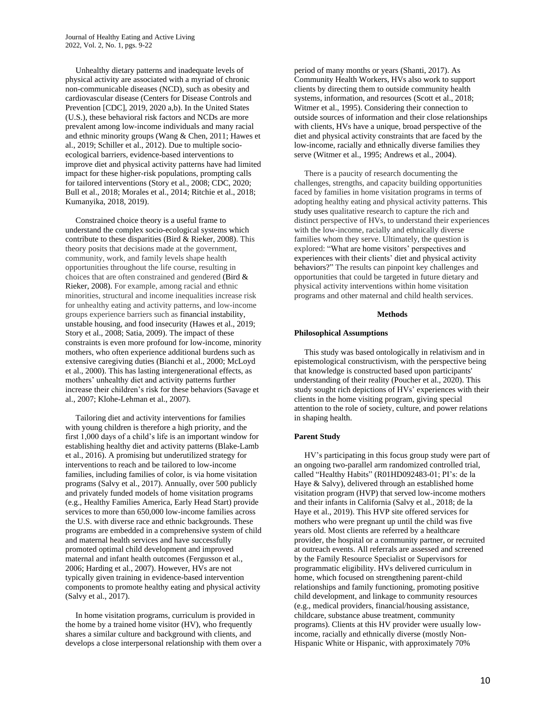Unhealthy dietary patterns and inadequate levels of physical activity are associated with a myriad of chronic non-communicable diseases (NCD), such as obesity and cardiovascular disease (Centers for Disease Controls and Prevention [CDC], 2019, 2020 a,b). In the United States (U.S.), these behavioral risk factors and NCDs are more prevalent among low-income individuals and many racial and ethnic minority groups (Wang & Chen, 2011; Hawes et al., 2019; Schiller et al., 2012). Due to multiple socioecological barriers, evidence-based interventions to improve diet and physical activity patterns have had limited impact for these higher-risk populations, prompting calls for tailored interventions (Story et al., 2008; CDC, 2020; Bull et al., 2018; Morales et al., 2014; Ritchie et al., 2018; Kumanyika, 2018, 2019).

 Constrained choice theory is a useful frame to understand the complex socio-ecological systems which contribute to these disparities (Bird & Rieker, 2008). This theory posits that decisions made at the government, community, work, and family levels shape health opportunities throughout the life course, resulting in choices that are often constrained and gendered (Bird & Rieker, 2008). For example, among racial and ethnic minorities, structural and income inequalities increase risk for unhealthy eating and activity patterns, and low-income groups experience barriers such as financial instability, unstable housing, and food insecurity (Hawes et al., 2019; Story et al., 2008; Satia, 2009). The impact of these constraints is even more profound for low-income, minority mothers, who often experience additional burdens such as extensive caregiving duties (Bianchi et al., 2000; McLoyd et al., 2000). This has lasting intergenerational effects, as mothers' unhealthy diet and activity patterns further increase their children's risk for these behaviors (Savage et al., 2007; Klohe-Lehman et al., 2007).

 Tailoring diet and activity interventions for families with young children is therefore a high priority, and the first 1,000 days of a child's life is an important window for establishing healthy diet and activity patterns (Blake-Lamb et al., 2016). A promising but underutilized strategy for interventions to reach and be tailored to low-income families, including families of color, is via home visitation programs (Salvy et al., 2017). Annually, over 500 publicly and privately funded models of home visitation programs (e.g., Healthy Families America, Early Head Start) provide services to more than 650,000 low-income families across the U.S. with diverse race and ethnic backgrounds. These programs are embedded in a comprehensive system of child and maternal health services and have successfully promoted optimal child development and improved maternal and infant health outcomes (Fergusson et al., 2006; Harding et al., 2007). However, HVs are not typically given training in evidence-based intervention components to promote healthy eating and physical activity (Salvy et al., 2017).

 In home visitation programs, curriculum is provided in the home by a trained home visitor (HV), who frequently shares a similar culture and background with clients, and develops a close interpersonal relationship with them over a period of many months or years (Shanti, 2017). As Community Health Workers, HVs also work to support clients by directing them to outside community health systems, information, and resources (Scott et al., 2018; Witmer et al., 1995). Considering their connection to outside sources of information and their close relationships with clients, HVs have a unique, broad perspective of the diet and physical activity constraints that are faced by the low-income, racially and ethnically diverse families they serve (Witmer et al., 1995; Andrews et al., 2004).

 There is a paucity of research documenting the challenges, strengths, and capacity building opportunities faced by families in home visitation programs in terms of adopting healthy eating and physical activity patterns. This study uses qualitative research to capture the rich and distinct perspective of HVs, to understand their experiences with the low-income, racially and ethnically diverse families whom they serve. Ultimately, the question is explored: "What are home visitors' perspectives and experiences with their clients' diet and physical activity behaviors?" The results can pinpoint key challenges and opportunities that could be targeted in future dietary and physical activity interventions within home visitation programs and other maternal and child health services.

#### **Methods**

#### **Philosophical Assumptions**

 This study was based ontologically in relativism and in epistemological constructivism, with the perspective being that knowledge is constructed based upon participants' understanding of their reality (Poucher et al., 2020). This study sought rich depictions of HVs' experiences with their clients in the home visiting program, giving special attention to the role of society, culture, and power relations in shaping health.

## **Parent Study**

 HV's participating in this focus group study were part of an ongoing two-parallel arm randomized controlled trial, called "Healthy Habits" (R01HD092483-01; PI's: de la Haye & Salvy), delivered through an established home visitation program (HVP) that served low-income mothers and their infants in California (Salvy et al., 2018; de la Haye et al., 2019). This HVP site offered services for mothers who were pregnant up until the child was five years old. Most clients are referred by a healthcare provider, the hospital or a community partner, or recruited at outreach events. All referrals are assessed and screened by the Family Resource Specialist or Supervisors for programmatic eligibility. HVs delivered curriculum in home, which focused on strengthening parent-child relationships and family functioning, promoting positive child development, and linkage to community resources (e.g., medical providers, financial/housing assistance, childcare, substance abuse treatment, community programs). Clients at this HV provider were usually lowincome, racially and ethnically diverse (mostly Non-Hispanic White or Hispanic, with approximately 70%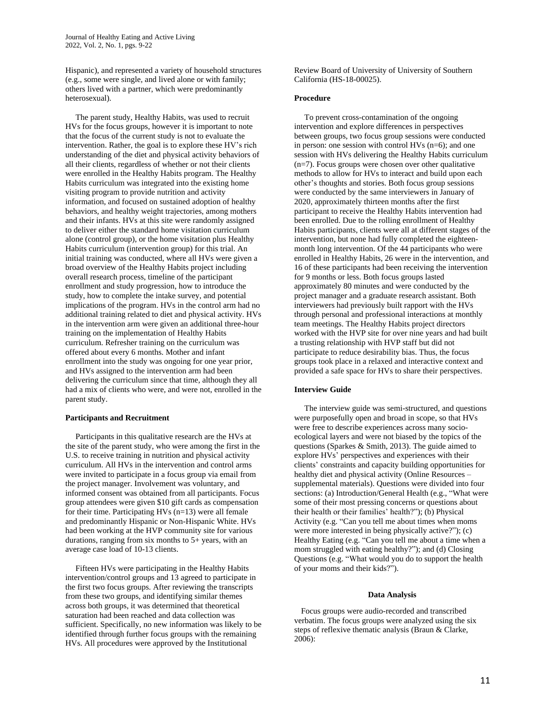Hispanic), and represented a variety of household structures (e.g., some were single, and lived alone or with family; others lived with a partner, which were predominantly heterosexual).

 The parent study, Healthy Habits, was used to recruit HVs for the focus groups, however it is important to note that the focus of the current study is not to evaluate the intervention. Rather, the goal is to explore these HV's rich understanding of the diet and physical activity behaviors of all their clients, regardless of whether or not their clients were enrolled in the Healthy Habits program. The Healthy Habits curriculum was integrated into the existing home visiting program to provide nutrition and activity information, and focused on sustained adoption of healthy behaviors, and healthy weight trajectories, among mothers and their infants. HVs at this site were randomly assigned to deliver either the standard home visitation curriculum alone (control group), or the home visitation plus Healthy Habits curriculum (intervention group) for this trial. An initial training was conducted, where all HVs were given a broad overview of the Healthy Habits project including overall research process, timeline of the participant enrollment and study progression, how to introduce the study, how to complete the intake survey, and potential implications of the program. HVs in the control arm had no additional training related to diet and physical activity. HVs in the intervention arm were given an additional three-hour training on the implementation of Healthy Habits curriculum. Refresher training on the curriculum was offered about every 6 months. Mother and infant enrollment into the study was ongoing for one year prior, and HVs assigned to the intervention arm had been delivering the curriculum since that time, although they all had a mix of clients who were, and were not, enrolled in the parent study.

## **Participants and Recruitment**

 Participants in this qualitative research are the HVs at the site of the parent study, who were among the first in the U.S. to receive training in nutrition and physical activity curriculum. All HVs in the intervention and control arms were invited to participate in a focus group via email from the project manager. Involvement was voluntary, and informed consent was obtained from all participants. Focus group attendees were given \$10 gift cards as compensation for their time. Participating HVs (n=13) were all female and predominantly Hispanic or Non-Hispanic White. HVs had been working at the HVP community site for various durations, ranging from six months to 5+ years, with an average case load of 10-13 clients.

 Fifteen HVs were participating in the Healthy Habits intervention/control groups and 13 agreed to participate in the first two focus groups. After reviewing the transcripts from these two groups, and identifying similar themes across both groups, it was determined that theoretical saturation had been reached and data collection was sufficient. Specifically, no new information was likely to be identified through further focus groups with the remaining HVs. All procedures were approved by the Institutional

Review Board of University of University of Southern California (HS-18-00025).

#### **Procedure**

 To prevent cross-contamination of the ongoing intervention and explore differences in perspectives between groups, two focus group sessions were conducted in person: one session with control HVs (n=6); and one session with HVs delivering the Healthy Habits curriculum  $(n=7)$ . Focus groups were chosen over other qualitative methods to allow for HVs to interact and build upon each other's thoughts and stories. Both focus group sessions were conducted by the same interviewers in January of 2020, approximately thirteen months after the first participant to receive the Healthy Habits intervention had been enrolled. Due to the rolling enrollment of Healthy Habits participants, clients were all at different stages of the intervention, but none had fully completed the eighteenmonth long intervention. Of the 44 participants who were enrolled in Healthy Habits, 26 were in the intervention, and 16 of these participants had been receiving the intervention for 9 months or less. Both focus groups lasted approximately 80 minutes and were conducted by the project manager and a graduate research assistant. Both interviewers had previously built rapport with the HVs through personal and professional interactions at monthly team meetings. The Healthy Habits project directors worked with the HVP site for over nine years and had built a trusting relationship with HVP staff but did not participate to reduce desirability bias. Thus, the focus groups took place in a relaxed and interactive context and provided a safe space for HVs to share their perspectives.

## **Interview Guide**

 The interview guide was semi-structured, and questions were purposefully open and broad in scope, so that HVs were free to describe experiences across many socioecological layers and were not biased by the topics of the questions (Sparkes  $& Smith, 2013$ ). The guide aimed to explore HVs' perspectives and experiences with their clients' constraints and capacity building opportunities for healthy diet and physical activity (Online Resources – supplemental materials). Questions were divided into four sections: (a) Introduction/General Health (e.g., "What were some of their most pressing concerns or questions about their health or their families' health?"); (b) Physical Activity (e.g. "Can you tell me about times when moms were more interested in being physically active?"); (c) Healthy Eating (e.g. "Can you tell me about a time when a mom struggled with eating healthy?"); and (d) Closing Questions (e.g. "What would you do to support the health of your moms and their kids?").

## **Data Analysis**

 Focus groups were audio-recorded and transcribed verbatim. The focus groups were analyzed using the six steps of reflexive thematic analysis (Braun & Clarke, 2006):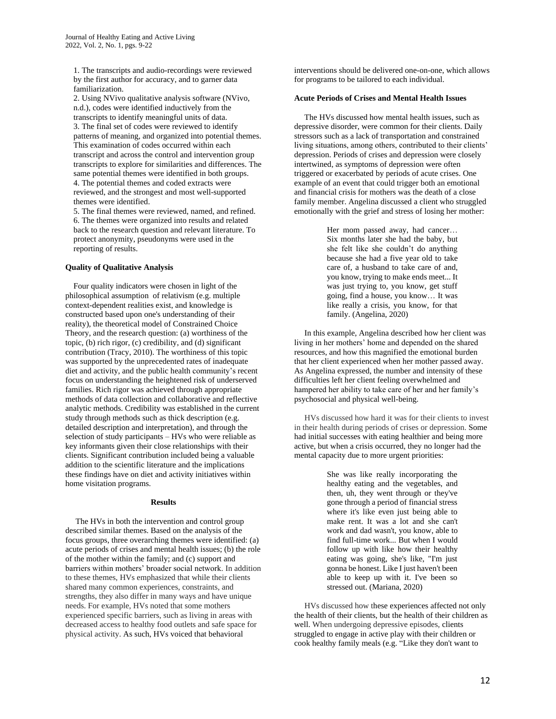1. The transcripts and audio-recordings were reviewed by the first author for accuracy, and to garner data familiarization.

2. Using NVivo qualitative analysis software (NVivo, n.d.), codes were identified inductively from the transcripts to identify meaningful units of data. 3. The final set of codes were reviewed to identify patterns of meaning, and organized into potential themes. This examination of codes occurred within each transcript and across the control and intervention group transcripts to explore for similarities and differences. The

same potential themes were identified in both groups. 4. The potential themes and coded extracts were reviewed, and the strongest and most well-supported themes were identified.

5. The final themes were reviewed, named, and refined. 6. The themes were organized into results and related back to the research question and relevant literature. To protect anonymity, pseudonyms were used in the reporting of results.

## **Quality of Qualitative Analysis**

 Four quality indicators were chosen in light of the philosophical assumption of relativism (e.g. multiple context-dependent realities exist, and knowledge is constructed based upon one's understanding of their reality), the theoretical model of Constrained Choice Theory, and the research question: (a) worthiness of the topic, (b) rich rigor, (c) credibility, and (d) significant contribution (Tracy, 2010). The worthiness of this topic was supported by the unprecedented rates of inadequate diet and activity, and the public health community's recent focus on understanding the heightened risk of underserved families. Rich rigor was achieved through appropriate methods of data collection and collaborative and reflective analytic methods. Credibility was established in the current study through methods such as thick description (e.g. detailed description and interpretation), and through the selection of study participants – HVs who were reliable as key informants given their close relationships with their clients. Significant contribution included being a valuable addition to the scientific literature and the implications these findings have on diet and activity initiatives within home visitation programs.

#### **Results**

 The HVs in both the intervention and control group described similar themes. Based on the analysis of the focus groups, three overarching themes were identified: (a) acute periods of crises and mental health issues; (b) the role of the mother within the family; and (c) support and barriers within mothers' broader social network. In addition to these themes, HVs emphasized that while their clients shared many common experiences, constraints, and strengths, they also differ in many ways and have unique needs. For example, HVs noted that some mothers experienced specific barriers, such as living in areas with decreased access to healthy food outlets and safe space for physical activity. As such, HVs voiced that behavioral

interventions should be delivered one-on-one, which allows for programs to be tailored to each individual.

### **Acute Periods of Crises and Mental Health Issues**

The HVs discussed how mental health issues, such as depressive disorder, were common for their clients. Daily stressors such as a lack of transportation and constrained living situations, among others, contributed to their clients' depression. Periods of crises and depression were closely intertwined, as symptoms of depression were often triggered or exacerbated by periods of acute crises. One example of an event that could trigger both an emotional and financial crisis for mothers was the death of a close family member. Angelina discussed a client who struggled emotionally with the grief and stress of losing her mother:

> Her mom passed away, had cancer… Six months later she had the baby, but she felt like she couldn't do anything because she had a five year old to take care of, a husband to take care of and, you know, trying to make ends meet... It was just trying to, you know, get stuff going, find a house, you know… It was like really a crisis, you know, for that family. (Angelina, 2020)

 In this example, Angelina described how her client was living in her mothers' home and depended on the shared resources, and how this magnified the emotional burden that her client experienced when her mother passed away. As Angelina expressed, the number and intensity of these difficulties left her client feeling overwhelmed and hampered her ability to take care of her and her family's psychosocial and physical well-being.

 HVs discussed how hard it was for their clients to invest in their health during periods of crises or depression. Some had initial successes with eating healthier and being more active, but when a crisis occurred, they no longer had the mental capacity due to more urgent priorities:

> She was like really incorporating the healthy eating and the vegetables, and then, uh, they went through or they've gone through a period of financial stress where it's like even just being able to make rent. It was a lot and she can't work and dad wasn't, you know, able to find full-time work... But when I would follow up with like how their healthy eating was going, she's like, "I'm just gonna be honest. Like I just haven't been able to keep up with it. I've been so stressed out. (Mariana, 2020)

 HVs discussed how these experiences affected not only the health of their clients, but the health of their children as well. When undergoing depressive episodes, clients struggled to engage in active play with their children or cook healthy family meals (e.g. "Like they don't want to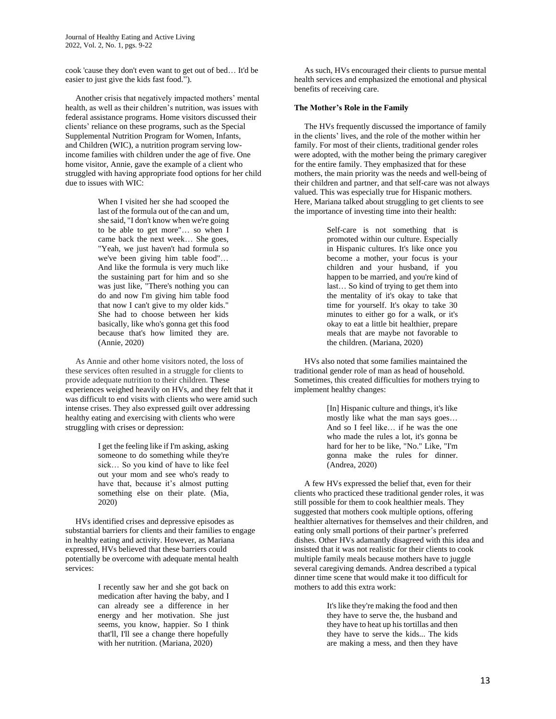Journal of Healthy Eating and Active Living 2022, Vol. 2, No. 1, pgs. 9-22

cook 'cause they don't even want to get out of bed… It'd be easier to just give the kids fast food.").

 Another crisis that negatively impacted mothers' mental health, as well as their children's nutrition, was issues with federal assistance programs. Home visitors discussed their clients' reliance on these programs, such as the Special Supplemental Nutrition Program for Women, Infants, and Children (WIC), a nutrition program serving lowincome families with children under the age of five. One home visitor, Annie, gave the example of a client who struggled with having appropriate food options for her child due to issues with WIC:

> When I visited her she had scooped the last of the formula out of the can and um, she said, "I don't know when we're going to be able to get more"… so when I came back the next week… She goes, "Yeah, we just haven't had formula so we've been giving him table food"… And like the formula is very much like the sustaining part for him and so she was just like, "There's nothing you can do and now I'm giving him table food that now I can't give to my older kids." She had to choose between her kids basically, like who's gonna get this food because that's how limited they are. (Annie, 2020)

 As Annie and other home visitors noted, the loss of these services often resulted in a struggle for clients to provide adequate nutrition to their children. These experiences weighed heavily on HVs, and they felt that it was difficult to end visits with clients who were amid such intense crises. They also expressed guilt over addressing healthy eating and exercising with clients who were struggling with crises or depression:

> I get the feeling like if I'm asking, asking someone to do something while they're sick… So you kind of have to like feel out your mom and see who's ready to have that, because it's almost putting something else on their plate. (Mia, 2020)

 HVs identified crises and depressive episodes as substantial barriers for clients and their families to engage in healthy eating and activity. However, as Mariana expressed, HVs believed that these barriers could potentially be overcome with adequate mental health services:

> I recently saw her and she got back on medication after having the baby, and I can already see a difference in her energy and her motivation. She just seems, you know, happier. So I think that'll, I'll see a change there hopefully with her nutrition. (Mariana, 2020)

 As such, HVs encouraged their clients to pursue mental health services and emphasized the emotional and physical benefits of receiving care.

#### **The Mother's Role in the Family**

 The HVs frequently discussed the importance of family in the clients' lives, and the role of the mother within her family. For most of their clients, traditional gender roles were adopted, with the mother being the primary caregiver for the entire family. They emphasized that for these mothers, the main priority was the needs and well-being of their children and partner, and that self-care was not always valued. This was especially true for Hispanic mothers. Here, Mariana talked about struggling to get clients to see the importance of investing time into their health:

> Self-care is not something that is promoted within our culture. Especially in Hispanic cultures. It's like once you become a mother, your focus is your children and your husband, if you happen to be married, and you're kind of last… So kind of trying to get them into the mentality of it's okay to take that time for yourself. It's okay to take 30 minutes to either go for a walk, or it's okay to eat a little bit healthier, prepare meals that are maybe not favorable to the children. (Mariana, 2020)

 HVs also noted that some families maintained the traditional gender role of man as head of household. Sometimes, this created difficulties for mothers trying to implement healthy changes:

> [In] Hispanic culture and things, it's like mostly like what the man says goes… And so I feel like… if he was the one who made the rules a lot, it's gonna be hard for her to be like, "No." Like, "I'm gonna make the rules for dinner. (Andrea, 2020)

 A few HVs expressed the belief that, even for their clients who practiced these traditional gender roles, it was still possible for them to cook healthier meals. They suggested that mothers cook multiple options, offering healthier alternatives for themselves and their children, and eating only small portions of their partner's preferred dishes. Other HVs adamantly disagreed with this idea and insisted that it was not realistic for their clients to cook multiple family meals because mothers have to juggle several caregiving demands. Andrea described a typical dinner time scene that would make it too difficult for mothers to add this extra work:

> It's like they're making the food and then they have to serve the, the husband and they have to heat up his tortillas and then they have to serve the kids... The kids are making a mess, and then they have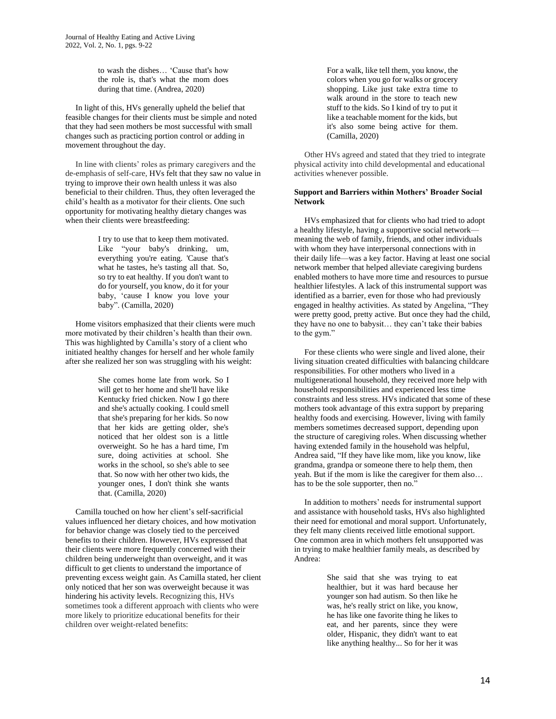to wash the dishes… 'Cause that's how the role is, that's what the mom does during that time. (Andrea, 2020)

 In light of this, HVs generally upheld the belief that feasible changes for their clients must be simple and noted that they had seen mothers be most successful with small changes such as practicing portion control or adding in movement throughout the day.

 In line with clients' roles as primary caregivers and the de-emphasis of self-care, HVs felt that they saw no value in trying to improve their own health unless it was also beneficial to their children. Thus, they often leveraged the child's health as a motivator for their clients. One such opportunity for motivating healthy dietary changes was when their clients were breastfeeding:

> I try to use that to keep them motivated. Like "your baby's drinking, um, everything you're eating. 'Cause that's what he tastes, he's tasting all that. So, so try to eat healthy. If you don't want to do for yourself, you know, do it for your baby, 'cause I know you love your baby". (Camilla, 2020)

 Home visitors emphasized that their clients were much more motivated by their children's health than their own. This was highlighted by Camilla's story of a client who initiated healthy changes for herself and her whole family after she realized her son was struggling with his weight:

> She comes home late from work. So I will get to her home and she'll have like Kentucky fried chicken. Now I go there and she's actually cooking. I could smell that she's preparing for her kids. So now that her kids are getting older, she's noticed that her oldest son is a little overweight. So he has a hard time, I'm sure, doing activities at school. She works in the school, so she's able to see that. So now with her other two kids, the younger ones, I don't think she wants that. (Camilla, 2020)

 Camilla touched on how her client's self-sacrificial values influenced her dietary choices, and how motivation for behavior change was closely tied to the perceived benefits to their children. However, HVs expressed that their clients were more frequently concerned with their children being underweight than overweight, and it was difficult to get clients to understand the importance of preventing excess weight gain. As Camilla stated, her client only noticed that her son was overweight because it was hindering his activity levels. Recognizing this, HVs sometimes took a different approach with clients who were more likely to prioritize educational benefits for their children over weight-related benefits:

For a walk, like tell them, you know, the colors when you go for walks or grocery shopping. Like just take extra time to walk around in the store to teach new stuff to the kids. So I kind of try to put it like a teachable moment for the kids, but it's also some being active for them. (Camilla, 2020)

 Other HVs agreed and stated that they tried to integrate physical activity into child developmental and educational activities whenever possible.

## **Support and Barriers within Mothers' Broader Social Network**

 HVs emphasized that for clients who had tried to adopt a healthy lifestyle, having a supportive social network meaning the web of family, friends, and other individuals with whom they have interpersonal connections with in their daily life—was a key factor. Having at least one social network member that helped alleviate caregiving burdens enabled mothers to have more time and resources to pursue healthier lifestyles. A lack of this instrumental support was identified as a barrier, even for those who had previously engaged in healthy activities. As stated by Angelina, "They were pretty good, pretty active. But once they had the child, they have no one to babysit… they can't take their babies to the gym."

 For these clients who were single and lived alone, their living situation created difficulties with balancing childcare responsibilities. For other mothers who lived in a multigenerational household, they received more help with household responsibilities and experienced less time constraints and less stress. HVs indicated that some of these mothers took advantage of this extra support by preparing healthy foods and exercising. However, living with family members sometimes decreased support, depending upon the structure of caregiving roles. When discussing whether having extended family in the household was helpful, Andrea said, "If they have like mom, like you know, like grandma, grandpa or someone there to help them, then yeah. But if the mom is like the caregiver for them also… has to be the sole supporter, then no."

 In addition to mothers' needs for instrumental support and assistance with household tasks, HVs also highlighted their need for emotional and moral support. Unfortunately, they felt many clients received little emotional support. One common area in which mothers felt unsupported was in trying to make healthier family meals, as described by Andrea:

> She said that she was trying to eat healthier, but it was hard because her younger son had autism. So then like he was, he's really strict on like, you know, he has like one favorite thing he likes to eat, and her parents, since they were older, Hispanic, they didn't want to eat like anything healthy... So for her it was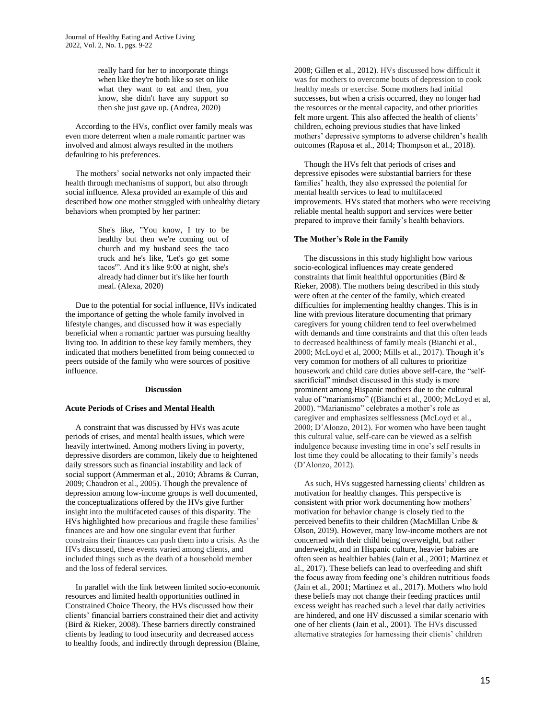really hard for her to incorporate things when like they're both like so set on like what they want to eat and then, you know, she didn't have any support so then she just gave up. (Andrea, 2020)

 According to the HVs, conflict over family meals was even more deterrent when a male romantic partner was involved and almost always resulted in the mothers defaulting to his preferences.

 The mothers' social networks not only impacted their health through mechanisms of support, but also through social influence. Alexa provided an example of this and described how one mother struggled with unhealthy dietary behaviors when prompted by her partner:

> She's like, "You know, I try to be healthy but then we're coming out of church and my husband sees the taco truck and he's like, 'Let's go get some tacos'". And it's like 9:00 at night, she's already had dinner but it's like her fourth meal. (Alexa, 2020)

 Due to the potential for social influence, HVs indicated the importance of getting the whole family involved in lifestyle changes, and discussed how it was especially beneficial when a romantic partner was pursuing healthy living too. In addition to these key family members, they indicated that mothers benefitted from being connected to peers outside of the family who were sources of positive influence.

## **Discussion**

#### **Acute Periods of Crises and Mental Health**

 A constraint that was discussed by HVs was acute periods of crises, and mental health issues, which were heavily intertwined. Among mothers living in poverty, depressive disorders are common, likely due to heightened daily stressors such as financial instability and lack of social support (Ammerman et al., 2010; Abrams & Curran, 2009; Chaudron et al., 2005). Though the prevalence of depression among low-income groups is well documented, the conceptualizations offered by the HVs give further insight into the multifaceted causes of this disparity. The HVs highlighted how precarious and fragile these families' finances are and how one singular event that further constrains their finances can push them into a crisis. As the HVs discussed, these events varied among clients, and included things such as the death of a household member and the loss of federal services.

 In parallel with the link between limited socio-economic resources and limited health opportunities outlined in Constrained Choice Theory, the HVs discussed how their clients' financial barriers constrained their diet and activity (Bird & Rieker, 2008). These barriers directly constrained clients by leading to food insecurity and decreased access to healthy foods, and indirectly through depression (Blaine,

2008; Gillen et al., 2012). HVs discussed how difficult it was for mothers to overcome bouts of depression to cook healthy meals or exercise. Some mothers had initial successes, but when a crisis occurred, they no longer had the resources or the mental capacity, and other priorities felt more urgent. This also affected the health of clients' children, echoing previous studies that have linked mothers' depressive symptoms to adverse children's health outcomes (Raposa et al., 2014; Thompson et al., 2018).

 Though the HVs felt that periods of crises and depressive episodes were substantial barriers for these families' health, they also expressed the potential for mental health services to lead to multifaceted improvements. HVs stated that mothers who were receiving reliable mental health support and services were better prepared to improve their family's health behaviors.

### **The Mother's Role in the Family**

 The discussions in this study highlight how various socio-ecological influences may create gendered constraints that limit healthful opportunities (Bird & Rieker, 2008). The mothers being described in this study were often at the center of the family, which created difficulties for implementing healthy changes. This is in line with previous literature documenting that primary caregivers for young children tend to feel overwhelmed with demands and time constraints and that this often leads to decreased healthiness of family meals (Bianchi et al., 2000; McLoyd et al, 2000; Mills et al., 2017). Though it's very common for mothers of all cultures to prioritize housework and child care duties above self-care, the "selfsacrificial" mindset discussed in this study is more prominent among Hispanic mothers due to the cultural value of "marianismo" ((Bianchi et al., 2000; McLoyd et al, 2000). "Marianismo" celebrates a mother's role as caregiver and emphasizes selflessness (McLoyd et al., 2000; D'Alonzo, 2012). For women who have been taught this cultural value, self-care can be viewed as a selfish indulgence because investing time in one's self results in lost time they could be allocating to their family's needs (D'Alonzo, 2012).

 As such, HVs suggested harnessing clients' children as motivation for healthy changes. This perspective is consistent with prior work documenting how mothers' motivation for behavior change is closely tied to the perceived benefits to their children (MacMillan Uribe & Olson, 2019). However, many low-income mothers are not concerned with their child being overweight, but rather underweight, and in Hispanic culture, heavier babies are often seen as healthier babies (Jain et al., 2001; Martinez et al., 2017). These beliefs can lead to overfeeding and shift the focus away from feeding one's children nutritious foods (Jain et al., 2001; Martinez et al., 2017). Mothers who hold these beliefs may not change their feeding practices until excess weight has reached such a level that daily activities are hindered, and one HV discussed a similar scenario with one of her clients (Jain et al., 2001). The HVs discussed alternative strategies for harnessing their clients' children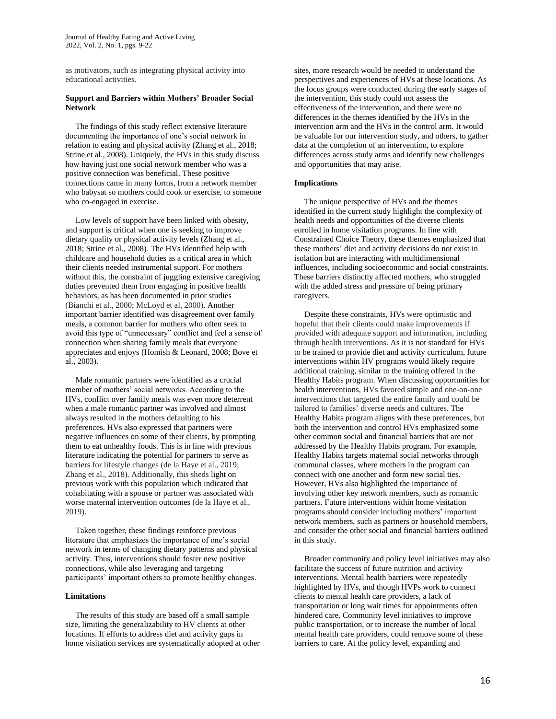as motivators, such as integrating physical activity into educational activities.

## **Support and Barriers within Mothers' Broader Social Network**

 The findings of this study reflect extensive literature documenting the importance of one's social network in relation to eating and physical activity (Zhang et al., 2018; Strine et al., 2008). Uniquely, the HVs in this study discuss how having just one social network member who was a positive connection was beneficial. These positive connections came in many forms, from a network member who babysat so mothers could cook or exercise, to someone who co-engaged in exercise.

 Low levels of support have been linked with obesity, and support is critical when one is seeking to improve dietary quality or physical activity levels (Zhang et al., 2018; Strine et al., 2008). The HVs identified help with childcare and household duties as a critical area in which their clients needed instrumental support. For mothers without this, the constraint of juggling extensive caregiving duties prevented them from engaging in positive health behaviors, as has been documented in prior studies (Bianchi et al., 2000; McLoyd et al, 2000). Another important barrier identified was disagreement over family meals, a common barrier for mothers who often seek to avoid this type of "unnecessary" conflict and feel a sense of connection when sharing family meals that everyone appreciates and enjoys (Homish & Leonard, 2008; Bove et al., 2003).

 Male romantic partners were identified as a crucial member of mothers' social networks. According to the HVs, conflict over family meals was even more deterrent when a male romantic partner was involved and almost always resulted in the mothers defaulting to his preferences. HVs also expressed that partners were negative influences on some of their clients, by prompting them to eat unhealthy foods. This is in line with previous literature indicating the potential for partners to serve as barriers for lifestyle changes (de la Haye et al., 2019; Zhang et al., 2018). Additionally, this sheds light on previous work with this population which indicated that cohabitating with a spouse or partner was associated with worse maternal intervention outcomes (de la Haye et al., 2019).

 Taken together, these findings reinforce previous literature that emphasizes the importance of one's social network in terms of changing dietary patterns and physical activity. Thus, interventions should foster new positive connections, while also leveraging and targeting participants' important others to promote healthy changes.

#### **Limitations**

 The results of this study are based off a small sample size, limiting the generalizability to HV clients at other locations. If efforts to address diet and activity gaps in home visitation services are systematically adopted at other

sites, more research would be needed to understand the perspectives and experiences of HVs at these locations. As the focus groups were conducted during the early stages of the intervention, this study could not assess the effectiveness of the intervention, and there were no differences in the themes identified by the HVs in the intervention arm and the HVs in the control arm. It would be valuable for our intervention study, and others, to gather data at the completion of an intervention, to explore differences across study arms and identify new challenges and opportunities that may arise.

## **Implications**

The unique perspective of HVs and the themes identified in the current study highlight the complexity of health needs and opportunities of the diverse clients enrolled in home visitation programs. In line with Constrained Choice Theory, these themes emphasized that these mothers' diet and activity decisions do not exist in isolation but are interacting with multidimensional influences, including socioeconomic and social constraints. These barriers distinctly affected mothers, who struggled with the added stress and pressure of being primary caregivers.

 Despite these constraints, HVs were optimistic and hopeful that their clients could make improvements if provided with adequate support and information, including through health interventions. As it is not standard for HVs to be trained to provide diet and activity curriculum, future interventions within HV programs would likely require additional training, similar to the training offered in the Healthy Habits program. When discussing opportunities for health interventions, HVs favored simple and one-on-one interventions that targeted the entire family and could be tailored to families' diverse needs and cultures. The Healthy Habits program aligns with these preferences, but both the intervention and control HVs emphasized some other common social and financial barriers that are not addressed by the Healthy Habits program. For example, Healthy Habits targets maternal social networks through communal classes, where mothers in the program can connect with one another and form new social ties. However, HVs also highlighted the importance of involving other key network members, such as romantic partners. Future interventions within home visitation programs should consider including mothers' important network members, such as partners or household members, and consider the other social and financial barriers outlined in this study.

 Broader community and policy level initiatives may also facilitate the success of future nutrition and activity interventions. Mental health barriers were repeatedly highlighted by HVs, and though HVPs work to connect clients to mental health care providers, a lack of transportation or long wait times for appointments often hindered care. Community level initiatives to improve public transportation, or to increase the number of local mental health care providers, could remove some of these barriers to care. At the policy level, expanding and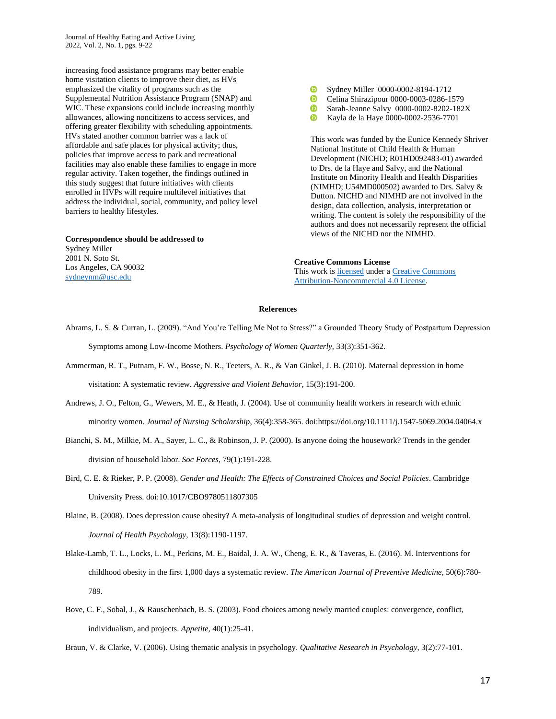Journal of Healthy Eating and Active Living 2022, Vol. 2, No. 1, pgs. 9-22

increasing food assistance programs may better enable home visitation clients to improve their diet, as HVs emphasized the vitality of programs such as the Supplemental Nutrition Assistance Program (SNAP) and WIC. These expansions could include increasing monthly allowances, allowing noncitizens to access services, and offering greater flexibility with scheduling appointments. HVs stated another common barrier was a lack of affordable and safe places for physical activity; thus, policies that improve access to park and recreational facilities may also enable these families to engage in more regular activity. Taken together, the findings outlined in this study suggest that future initiatives with clients enrolled in HVPs will require multilevel initiatives that address the individual, social, community, and policy level barriers to healthy lifestyles.

**Correspondence should be addressed to** Sydney Miller 2001 N. Soto St. Los Angeles, CA 90032 [sydneynm@usc.edu](mailto:sydneynm@usc.edu)

- **GD** Sydney Miller 0000-0002-8194-1712
- **D** Celina Shirazipour [0000-0003-0286-1579](https://orcid.org/0000-0003-0286-1579)
- **GD** Sarah-Jeanne Salvy 0000-0002-8202-182X
- **i**D Kayla de la Hay[e 0000-0002-2536-7701](https://orcid.org/0000-0002-2536-7701)

This work was funded by the Eunice Kennedy Shriver National Institute of Child Health & Human Development (NICHD; R01HD092483-01) awarded to Drs. de la Haye and Salvy, and the National Institute on Minority Health and Health Disparities (NIMHD; U54MD000502) awarded to Drs. Salvy & Dutton. NICHD and NIMHD are not involved in the design, data collection, analysis, interpretation or writing. The content is solely the responsibility of the authors and does not necessarily represent the official views of the NICHD nor the NIMHD.

#### **Creative Commons License**

This work i[s licensed](https://creativecommons.org/licenses/by-nc-nd/4.0/legalcode) under a [Creative Commons](https://creativecommons.org/licenses/by-nc/4.0/)  [Attribution-Noncommercial 4.0 License.](https://creativecommons.org/licenses/by-nc/4.0/)

#### **References**

Abrams, L. S. & Curran, L. (2009). "And You're Telling Me Not to Stress?" a Grounded Theory Study of Postpartum Depression Symptoms among Low-Income Mothers. *Psychology of Women Quarterly*, 33(3):351-362.

- Ammerman, R. T., Putnam, F. W., Bosse, N. R., Teeters, A. R., & Van Ginkel, J. B. (2010). Maternal depression in home visitation: A systematic review. *Aggressive and Violent Behavior*, 15(3):191-200.
- Andrews, J. O., Felton, G., Wewers, M. E., & Heath, J. (2004). Use of community health workers in research with ethnic minority women. *Journal of Nursing Scholarship*, 36(4):358-365. doi:https://doi.org/10.1111/j.1547-5069.2004.04064.x
- Bianchi, S. M., Milkie, M. A., Sayer, L. C., & Robinson, J. P. (2000). Is anyone doing the housework? Trends in the gender division of household labor. *Soc Forces*, 79(1):191-228.
- Bird, C. E. & Rieker, P. P. (2008). *Gender and Health: The Effects of Constrained Choices and Social Policies*. Cambridge University Press. doi:10.1017/CBO9780511807305
- Blaine, B. (2008). Does depression cause obesity? A meta-analysis of longitudinal studies of depression and weight control. *Journal of Health Psychology*, 13(8):1190-1197.
- Blake-Lamb, T. L., Locks, L. M., Perkins, M. E., Baidal, J. A. W., Cheng, E. R., & Taveras, E. (2016). M. Interventions for childhood obesity in the first 1,000 days a systematic review. *The American Journal of Preventive Medicine*, 50(6):780- 789.
- Bove, C. F., Sobal, J., & Rauschenbach, B. S. (2003). Food choices among newly married couples: convergence, conflict, individualism, and projects. *Appetite*, 40(1):25-41.

Braun, V. & Clarke, V. (2006). Using thematic analysis in psychology. *Qualitative Research in Psychology*, 3(2):77-101.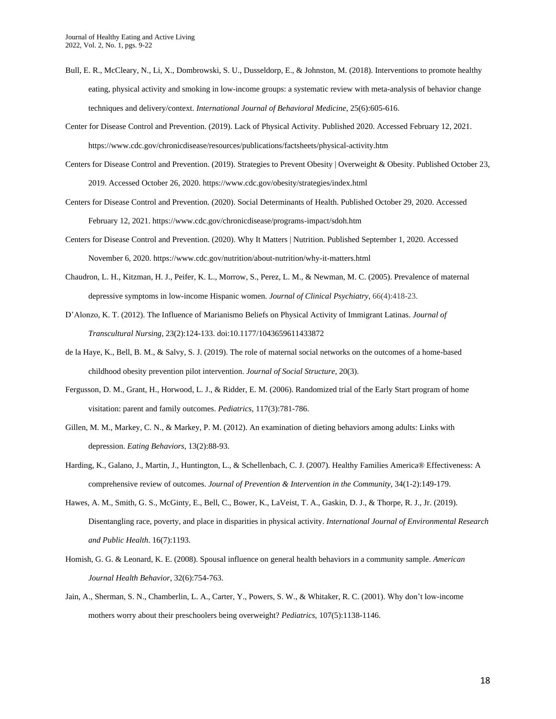- Bull, E. R., McCleary, N., Li, X., Dombrowski, S. U., Dusseldorp, E., & Johnston, M. (2018). Interventions to promote healthy eating, physical activity and smoking in low-income groups: a systematic review with meta-analysis of behavior change techniques and delivery/context. *International Journal of Behavioral Medicine*, 25(6):605-616.
- Center for Disease Control and Prevention. (2019). Lack of Physical Activity. Published 2020. Accessed February 12, 2021. https://www.cdc.gov/chronicdisease/resources/publications/factsheets/physical-activity.htm
- Centers for Disease Control and Prevention. (2019). Strategies to Prevent Obesity | Overweight & Obesity. Published October 23, 2019. Accessed October 26, 2020. https://www.cdc.gov/obesity/strategies/index.html
- Centers for Disease Control and Prevention. (2020). Social Determinants of Health. Published October 29, 2020. Accessed February 12, 2021. https://www.cdc.gov/chronicdisease/programs-impact/sdoh.htm
- Centers for Disease Control and Prevention. (2020). Why It Matters | Nutrition. Published September 1, 2020. Accessed November 6, 2020. https://www.cdc.gov/nutrition/about-nutrition/why-it-matters.html
- Chaudron, L. H., Kitzman, H. J., Peifer, K. L., Morrow, S., Perez, L. M., & Newman, M. C. (2005). Prevalence of maternal depressive symptoms in low-income Hispanic women. *Journal of Clinical Psychiatry*, 66(4):418-23.
- D'Alonzo, K. T. (2012). The Influence of Marianismo Beliefs on Physical Activity of Immigrant Latinas. *Journal of Transcultural Nursing*, 23(2):124-133. doi:10.1177/1043659611433872
- de la Haye, K., Bell, B. M., & Salvy, S. J. (2019). The role of maternal social networks on the outcomes of a home-based childhood obesity prevention pilot intervention. *Journal of Social Structure*, 20(3).
- Fergusson, D. M., Grant, H., Horwood, L. J., & Ridder, E. M. (2006). Randomized trial of the Early Start program of home visitation: parent and family outcomes. *Pediatrics*, 117(3):781-786.
- Gillen, M. M., Markey, C. N., & Markey, P. M. (2012). An examination of dieting behaviors among adults: Links with depression. *Eating Behaviors*, 13(2):88-93.
- Harding, K., Galano, J., Martin, J., Huntington, L., & Schellenbach, C. J. (2007). Healthy Families America® Effectiveness: A comprehensive review of outcomes. *Journal of Prevention & Intervention in the Community*, 34(1-2):149-179.
- Hawes, A. M., Smith, G. S., McGinty, E., Bell, C., Bower, K., LaVeist, T. A., Gaskin, D. J., & Thorpe, R. J., Jr. (2019). Disentangling race, poverty, and place in disparities in physical activity. *International Journal of Environmental Research and Public Health*. 16(7):1193.
- Homish, G. G. & Leonard, K. E. (2008). Spousal influence on general health behaviors in a community sample. *American Journal Health Behavior*, 32(6):754-763.
- Jain, A., Sherman, S. N., Chamberlin, L. A., Carter, Y., Powers, S. W., & Whitaker, R. C. (2001). Why don't low-income mothers worry about their preschoolers being overweight? *Pediatrics*, 107(5):1138-1146.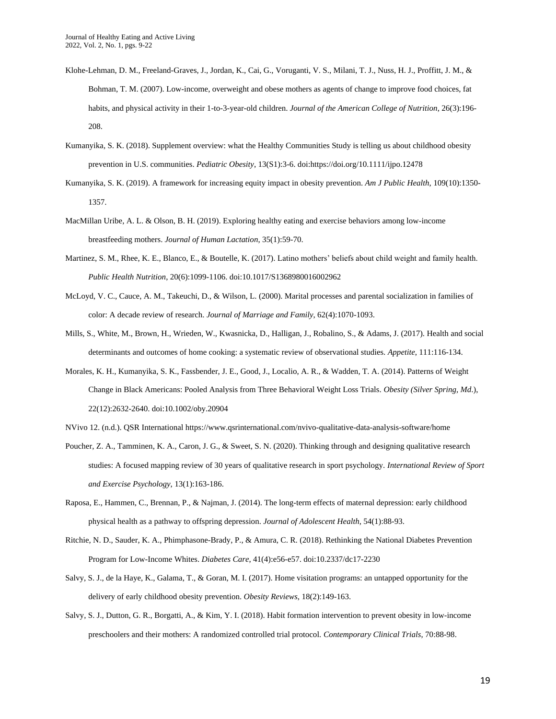- Klohe-Lehman, D. M., Freeland-Graves, J., Jordan, K., Cai, G., Voruganti, V. S., Milani, T. J., Nuss, H. J., Proffitt, J. M., & Bohman, T. M. (2007). Low-income, overweight and obese mothers as agents of change to improve food choices, fat habits, and physical activity in their 1-to-3-year-old children. *Journal of the American College of Nutrition*, 26(3):196- 208.
- Kumanyika, S. K. (2018). Supplement overview: what the Healthy Communities Study is telling us about childhood obesity prevention in U.S. communities. *Pediatric Obesity*, 13(S1):3-6. doi:https://doi.org/10.1111/ijpo.12478
- Kumanyika, S. K. (2019). A framework for increasing equity impact in obesity prevention. *Am J Public Health*, 109(10):1350- 1357.
- MacMillan Uribe, A. L. & Olson, B. H. (2019). Exploring healthy eating and exercise behaviors among low-income breastfeeding mothers. *Journal of Human Lactation*, 35(1):59-70.
- Martinez, S. M., Rhee, K. E., Blanco, E., & Boutelle, K. (2017). Latino mothers' beliefs about child weight and family health. *Public Health Nutrition*, 20(6):1099-1106. doi:10.1017/S1368980016002962
- McLoyd, V. C., Cauce, A. M., Takeuchi, D., & Wilson, L. (2000). Marital processes and parental socialization in families of color: A decade review of research. *Journal of Marriage and Family*, 62(4):1070-1093.
- Mills, S., White, M., Brown, H., Wrieden, W., Kwasnicka, D., Halligan, J., Robalino, S., & Adams, J. (2017). Health and social determinants and outcomes of home cooking: a systematic review of observational studies. *Appetite*, 111:116-134.
- Morales, K. H., Kumanyika, S. K., Fassbender, J. E., Good, J., Localio, A. R., & Wadden, T. A. (2014). Patterns of Weight Change in Black Americans: Pooled Analysis from Three Behavioral Weight Loss Trials. *Obesity (Silver Spring, Md*.), 22(12):2632-2640. doi:10.1002/oby.20904
- NVivo 12. (n.d.). QSR International https://www.qsrinternational.com/nvivo-qualitative-data-analysis-software/home
- Poucher, Z. A., Tamminen, K. A., Caron, J. G., & Sweet, S. N. (2020). Thinking through and designing qualitative research studies: A focused mapping review of 30 years of qualitative research in sport psychology. *International Review of Sport and Exercise Psychology*, 13(1):163-186.
- Raposa, E., Hammen, C., Brennan, P., & Najman, J. (2014). The long-term effects of maternal depression: early childhood physical health as a pathway to offspring depression. *Journal of Adolescent Health*, 54(1):88-93.
- Ritchie, N. D., Sauder, K. A., Phimphasone-Brady, P., & Amura, C. R. (2018). Rethinking the National Diabetes Prevention Program for Low-Income Whites. *Diabetes Care*, 41(4):e56-e57. doi:10.2337/dc17-2230
- Salvy, S. J., de la Haye, K., Galama, T., & Goran, M. I. (2017). Home visitation programs: an untapped opportunity for the delivery of early childhood obesity prevention. *Obesity Reviews*, 18(2):149-163.
- Salvy, S. J., Dutton, G. R., Borgatti, A., & Kim, Y. I. (2018). Habit formation intervention to prevent obesity in low-income preschoolers and their mothers: A randomized controlled trial protocol. *Contemporary Clinical Trials*, 70:88-98.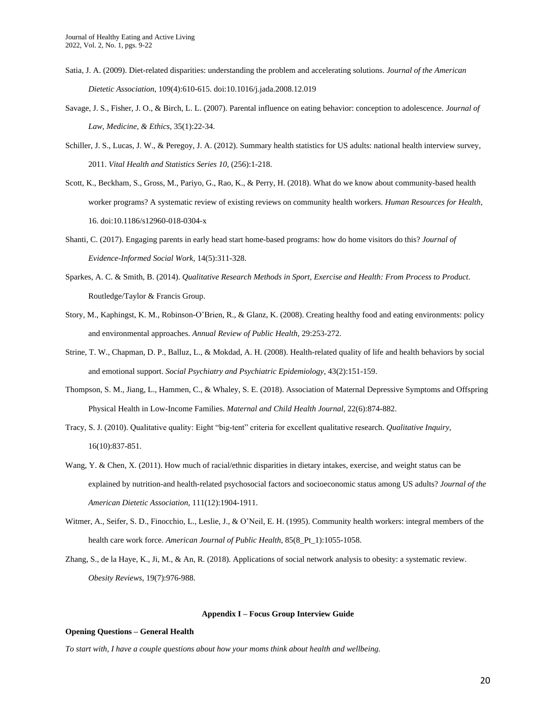- Satia, J. A. (2009). Diet-related disparities: understanding the problem and accelerating solutions. *Journal of the American Dietetic Association*, 109(4):610-615. doi:10.1016/j.jada.2008.12.019
- Savage, J. S., Fisher, J. O., & Birch, L. L. (2007). Parental influence on eating behavior: conception to adolescence. *Journal of Law, Medicine, & Ethics*, 35(1):22-34.
- Schiller, J. S., Lucas, J. W., & Peregoy, J. A. (2012). Summary health statistics for US adults: national health interview survey, 2011. *Vital Health and Statistics Series 10*, (256):1-218.
- Scott, K., Beckham, S., Gross, M., Pariyo, G., Rao, K., & Perry, H. (2018). What do we know about community-based health worker programs? A systematic review of existing reviews on community health workers. *Human Resources for Health*, 16. doi:10.1186/s12960-018-0304-x
- Shanti, C. (2017). Engaging parents in early head start home-based programs: how do home visitors do this? *Journal of Evidence-Informed Social Work*, 14(5):311-328.
- Sparkes, A. C. & Smith, B. (2014). *Qualitative Research Methods in Sport, Exercise and Health: From Process to Product*. Routledge/Taylor & Francis Group.
- Story, M., Kaphingst, K. M., Robinson-O'Brien, R., & Glanz, K. (2008). Creating healthy food and eating environments: policy and environmental approaches. *Annual Review of Public Health*, 29:253-272.
- Strine, T. W., Chapman, D. P., Balluz, L., & Mokdad, A. H. (2008). Health-related quality of life and health behaviors by social and emotional support. *Social Psychiatry and Psychiatric Epidemiology*, 43(2):151-159.
- Thompson, S. M., Jiang, L., Hammen, C., & Whaley, S. E. (2018). Association of Maternal Depressive Symptoms and Offspring Physical Health in Low-Income Families. *Maternal and Child Health Journal*, 22(6):874-882.
- Tracy, S. J. (2010). Qualitative quality: Eight "big-tent" criteria for excellent qualitative research. *Qualitative Inquiry*, 16(10):837-851.
- Wang, Y. & Chen, X. (2011). How much of racial/ethnic disparities in dietary intakes, exercise, and weight status can be explained by nutrition-and health-related psychosocial factors and socioeconomic status among US adults? *Journal of the American Dietetic Association*, 111(12):1904-1911.
- Witmer, A., Seifer, S. D., Finocchio, L., Leslie, J., & O'Neil, E. H. (1995). Community health workers: integral members of the health care work force. *American Journal of Public Health*, 85(8\_Pt\_1):1055-1058.
- Zhang, S., de la Haye, K., Ji, M., & An, R. (2018). Applications of social network analysis to obesity: a systematic review. *Obesity Reviews*, 19(7):976-988.

## **Appendix I – Focus Group Interview Guide**

#### **Opening Questions – General Health**

*To start with, I have a couple questions about how your moms think about health and wellbeing.*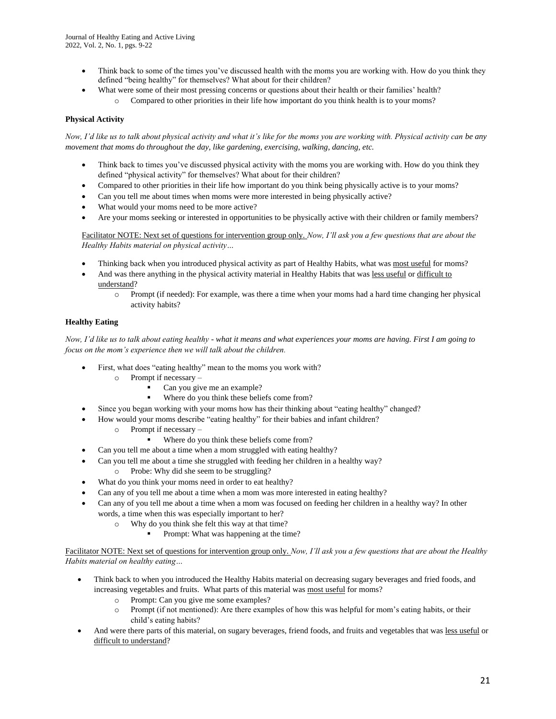- Think back to some of the times you've discussed health with the moms you are working with. How do you think they defined "being healthy" for themselves? What about for their children?
- What were some of their most pressing concerns or questions about their health or their families' health? o Compared to other priorities in their life how important do you think health is to your moms?

# **Physical Activity**

*Now, I'd like us to talk about physical activity and what it's like for the moms you are working with. Physical activity can be any movement that moms do throughout the day, like gardening, exercising, walking, dancing, etc.* 

- Think back to times you've discussed physical activity with the moms you are working with. How do you think they defined "physical activity" for themselves? What about for their children?
- Compared to other priorities in their life how important do you think being physically active is to your moms?
- Can you tell me about times when moms were more interested in being physically active?
- What would your moms need to be more active?
- Are your moms seeking or interested in opportunities to be physically active with their children or family members?

Facilitator NOTE: Next set of questions for intervention group only. *Now, I'll ask you a few questions that are about the Healthy Habits material on physical activity…*

- Thinking back when you introduced physical activity as part of Healthy Habits, what was most useful for moms?
- And was there anything in the physical activity material in Healthy Habits that was less useful or difficult to understand?
	- o Prompt (if needed): For example, was there a time when your moms had a hard time changing her physical activity habits?

## **Healthy Eating**

*Now, I'd like us to talk about eating healthy - what it means and what experiences your moms are having. First I am going to focus on the mom's experience then we will talk about the children.* 

- First, what does "eating healthy" mean to the moms you work with?
	- o Prompt if necessary
		- Can you give me an example?
		- Where do you think these beliefs come from?
- Since you began working with your moms how has their thinking about "eating healthy" changed?
- How would your moms describe "eating healthy" for their babies and infant children?
	- o Prompt if necessary
		- Where do you think these beliefs come from?
- Can you tell me about a time when a mom struggled with eating healthy?
- Can you tell me about a time she struggled with feeding her children in a healthy way?
	- o Probe: Why did she seem to be struggling?
- What do you think your moms need in order to eat healthy?
- Can any of you tell me about a time when a mom was more interested in eating healthy?
- Can any of you tell me about a time when a mom was focused on feeding her children in a healthy way? In other words, a time when this was especially important to her?
	- o Why do you think she felt this way at that time?
		- Prompt: What was happening at the time?

Facilitator NOTE: Next set of questions for intervention group only. *Now, I'll ask you a few questions that are about the Healthy Habits material on healthy eating…*

- Think back to when you introduced the Healthy Habits material on decreasing sugary beverages and fried foods, and increasing vegetables and fruits. What parts of this material was most useful for moms?
	- o Prompt: Can you give me some examples?
	- o Prompt (if not mentioned): Are there examples of how this was helpful for mom's eating habits, or their child's eating habits?
- And were there parts of this material, on sugary beverages, friend foods, and fruits and vegetables that was less useful or difficult to understand?